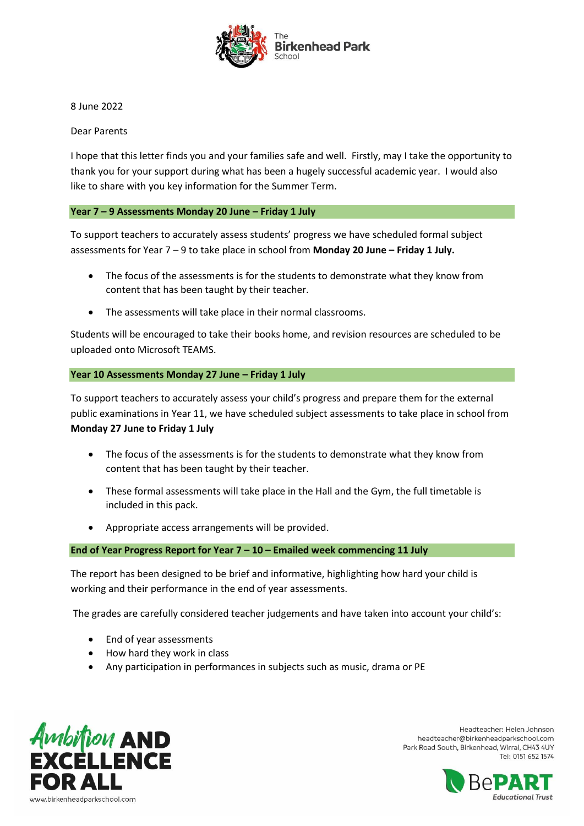

8 June 2022

Dear Parents

I hope that this letter finds you and your families safe and well. Firstly, may I take the opportunity to thank you for your support during what has been a hugely successful academic year. I would also like to share with you key information for the Summer Term.

**Year 7 – 9 Assessments Monday 20 June – Friday 1 July**

To support teachers to accurately assess students' progress we have scheduled formal subject assessments for Year 7 – 9 to take place in school from **Monday 20 June – Friday 1 July.**

- The focus of the assessments is for the students to demonstrate what they know from content that has been taught by their teacher.
- The assessments will take place in their normal classrooms.

Students will be encouraged to take their books home, and revision resources are scheduled to be uploaded onto Microsoft TEAMS.

## **Year 10 Assessments Monday 27 June – Friday 1 July**

To support teachers to accurately assess your child's progress and prepare them for the external public examinations in Year 11, we have scheduled subject assessments to take place in school from **Monday 27 June to Friday 1 July**

- The focus of the assessments is for the students to demonstrate what they know from content that has been taught by their teacher.
- These formal assessments will take place in the Hall and the Gym, the full timetable is included in this pack.
- Appropriate access arrangements will be provided.

## **End of Year Progress Report for Year 7 – 10 – Emailed week commencing 11 July**

The report has been designed to be brief and informative, highlighting how hard your child is working and their performance in the end of year assessments.

The grades are carefully considered teacher judgements and have taken into account your child's:

- End of year assessments
- How hard they work in class
- Any participation in performances in subjects such as music, drama or PE



Headteacher: Helen Johnson headteacher@birkenheadparkschool.com Park Road South, Birkenhead, Wirral, CH43 4UY Tel: 0151 652 1574